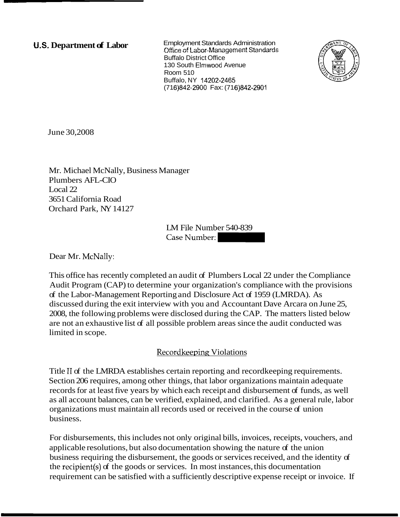**U.S. Department of Labor Employment Standards Administration Office of Labor-Management Standards** Buffalo District Office 130 South Elmwood Avenue Room 510 Buffalo, NY 14202-2465 (71 6)842-2900 Fax: (71 6)842-2901



June 30,2008

Mr. Michael McNally, Business Manager Plumbers AFL-CIO Local 22 3651 California Road Orchard Park, NY 14127

> LM File Number 540-839 Case Number:

Dear Mr. McNally:

This office has recently completed an audit of Plumbers Local 22 under the Compliance Audit Program (CAP) to determine your organization's compliance with the provisions of the Labor-Management Reporting and Disclosure Act of 1959 (LMRDA). As discussed during the exit interview with you and Accountant Dave Arcara on June 25, 2008, the following problems were disclosed during the CAP. The matters listed below are not an exhaustive list of all possible problem areas since the audit conducted was limited in scope.

# Recordkeeping Violations

Title I1 of the LMRDA establishes certain reporting and recordkeeping requirements. Section 206 requires, among other things, that labor organizations maintain adequate records for at least five years by which each receipt and disbursement of funds, as well as all account balances, can be verified, explained, and clarified. As a general rule, labor organizations must maintain all records used or received in the course of union business.

For disbursements, this includes not only original bills, invoices, receipts, vouchers, and applicable resolutions, but also documentation showing the nature of the union business requiring the disbursement, the goods or services received, and the identity of the recipient(s) of the goods or services. In most instances, this documentation requirement can be satisfied with a sufficiently descriptive expense receipt or invoice. If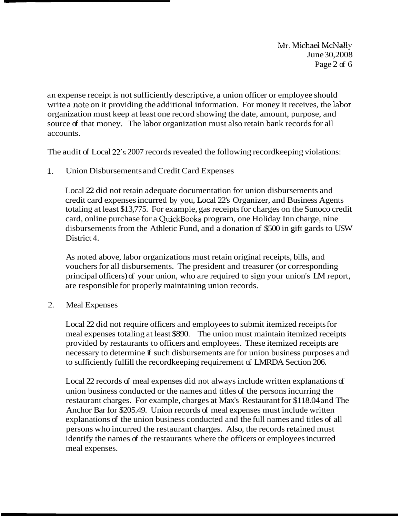**Mr. Michskl** McNally June 30,2008 Page 2 of 6

an expense receipt is not sufficiently descriptive, a union officer or employee should write a note on it providing the additional information. For money it receives, the labor organization must keep at least one record showing the date, amount, purpose, and source of that money. The labor organization must also retain bank records for all accounts.

The audit of Local 22's 2007 records revealed the following recordkeeping violations:

1. Union Disbursements and Credit Card Expenses

Local 22 did not retain adequate documentation for union disbursements and credit card expenses incurred by you, Local 22's Organizer, and Business Agents totaling at least \$13,775. For example, gas receipts for charges on the Sunoco credit card, online purchase for a QuickBooks program, one Holiday Inn charge, nine disbursements from the Athletic Fund, and a donation of \$500 in gift gards to USW District 4.

As noted above, labor organizations must retain original receipts, bills, and vouchers for all disbursements. The president and treasurer (or corresponding principal officers) of your union, who are required to sign your union's LM report, are responsible for properly maintaining union records.

2. Meal Expenses

Local 22 did not require officers and employees to submit itemized receipts for meal expenses totaling at least \$890. The union must maintain itemized receipts provided by restaurants to officers and employees. These itemized receipts are necessary to determine if such disbursements are for union business purposes and to sufficiently fulfill the recordkeeping requirement of LMRDA Section 206.

Local 22 records of meal expenses did not always include written explanations of union business conducted or the names and titles of the persons incurring the restaurant charges. For example, charges at Max's Restaurant for \$118.04 and The Anchor Bar for \$205.49. Union records of meal expenses must include written explanations of the union business conducted and the full names and titles of all persons who incurred the restaurant charges. Also, the records retained must identify the names of the restaurants where the officers or employees incurred meal expenses.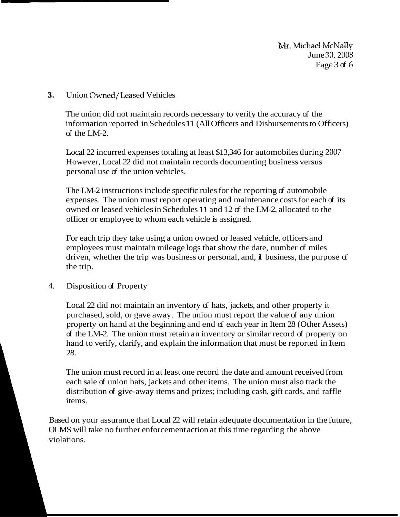**Mr. Michael McNally** June 30,2008 Page 3 of 6

## **3.** Union Owned/Leased Vehicles

The union did not maintain records necessary to verify the accuracy of the information reported in Schedules 11 (All Officers and Disbursements to Officers) of the LM-2.

Local 22 incurred expenses totaling at least \$13,346 for automobiles during 2007 However, Local 22 did not maintain records documenting business versus personal use of the union vehicles.

The LM-2 instructions include specific rules for the reporting of automobile expenses. The union must report operating and maintenance costs for each of its owned or leased vehicles in Schedules 11 and 12 of the LM-2, allocated to the officer or employee to whom each vehicle is assigned.

For each trip they take using a union owned or leased vehicle, officers and employees must maintain mileage logs that show the date, number of miles driven, whether the trip was business or personal, and, if business, the purpose of the trip.

#### 4. Disposition of Property

Local 22 did not maintain an inventory of hats, jackets, and other property it purchased, sold, or gave away. The union must report the value of any union property on hand at the beginning and end of each year in Item 28 (Other Assets) of the LM-2. The union must retain an inventory or similar record of property on hand to verify, clarify, and explain the information that must be reported in Item 28.

The union must record in at least one record the date and amount received from each sale of union hats, jackets and other items. The union must also track the distribution of give-away items and prizes; including cash, gift cards, and raffle items.

Based on your assurance that Local 22 will retain adequate documentation in the future, OLMS will take no further enforcement action at this time regarding the above violations.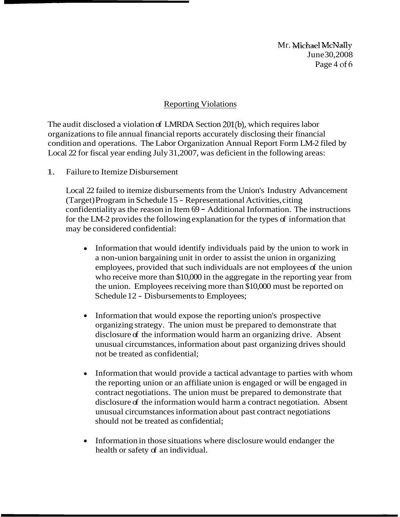Mr. Michael McNally June 30,2008 Page 4 of 6

### Reporting Violations

The audit disclosed a violation of LMRDA Section 201(b), which requires labor organizations to file annual financial reports accurately disclosing their financial condition and operations. The Labor Organization Annual Report Form LM-2 filed by Local 22 for fiscal year ending July 31,2007, was deficient in the following areas:

1. Failure to Itemize Disbursement

Local 22 failed to itemize disbursements from the Union's Industry Advancement (Target) Program in Schedule 15 - Representational Activities, citing confidentiality as the reason in Item 69 - Additional Information. The instructions for the LM-2 provides the following explanation for the types of information that may be considered confidential:

- Information that would identify individuals paid by the union to work in a non-union bargaining unit in order to assist the union in organizing employees, provided that such individuals are not employees of the union who receive more than \$10,000 in the aggregate in the reporting year from the union. Employees receiving more than \$10,000 must be reported on Schedule 12 - Disbursements to Employees;
- $\bullet$ Information that would expose the reporting union's prospective organizing strategy. The union must be prepared to demonstrate that disclosure of the information would harm an organizing drive. Absent unusual circumstances, information about past organizing drives should not be treated as confidential;
- Information that would provide a tactical advantage to parties with whom the reporting union or an affiliate union is engaged or will be engaged in contract negotiations. The union must be prepared to demonstrate that disclosure of the information would harm a contract negotiation. Absent unusual circumstances information about past contract negotiations should not be treated as confidential;
- Information in those situations where disclosure would endanger the health or safety of an individual.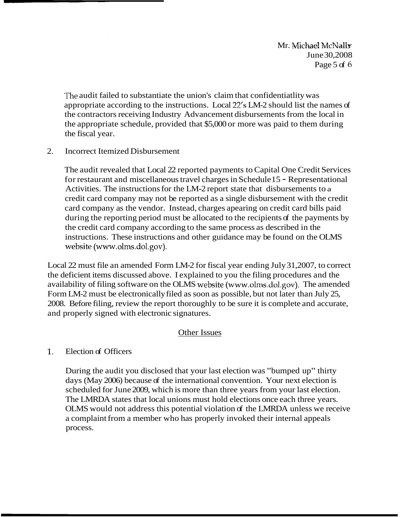Mr. Michael McNally June 30,2008 Page  $5$  of  $6$ 

The audit failed to substantiate the union's claim that confidentiatlity was appropriate according to the instructions. Local 22's LM-2 should list the names of the contractors receiving Industry Advancement disbursements from the local in the appropriate schedule, provided that \$5,000 or more was paid to them during the fiscal year.

2. Incorrect Itemized Disbursement

The audit revealed that Local 22 reported payments to Capital One Credit Services for restaurant and miscellaneous travel charges in Schedule 15 - Representational Activities. The instructions for the LM-2 report state that disbursements to a credit card company may not be reported as a single disbursement with the credit card company as the vendor. Instead, charges apearing on credit card bills paid during the reporting period must be allocated to the recipients of the payments by the credit card company according to the same process as described in the instructions. These instructions and other guidance may be found on the OLMS website (www.olms.dol.gov).

Local 22 must file an amended Form LM-2 for fiscal year ending July 31,2007, to correct the deficient items discussed above. I explained to you the filing procedures and the availability of filing software on the OLMS website (www.olms.dol.gov). The amended Form LM-2 must be electronically filed as soon as possible, but not later than July 25, 2008. Before filing, review the report thoroughly to be sure it is complete and accurate, and properly signed with electronic signatures.

# Other Issues

#### $\mathbf{1}$ . Election of Officers

During the audit you disclosed that your last election was "bumped up" thirty days (May 2006) because of the international convention. Your next election is scheduled for June 2009, which is more than three years from your last election. The LMRDA states that local unions must hold elections once each three years. OLMS would not address this potential violation of the LMRDA unless we receive a complaint from a member who has properly invoked their internal appeals process.